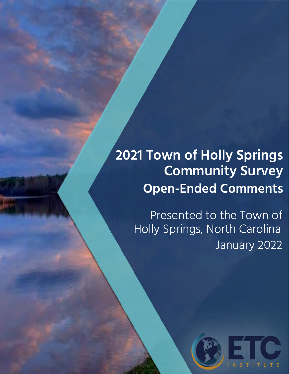## **2021 Town of Holly Springs Community Survey Open-Ended Comments**

Presented to the Town of Holly Springs, North Carolina January 2022

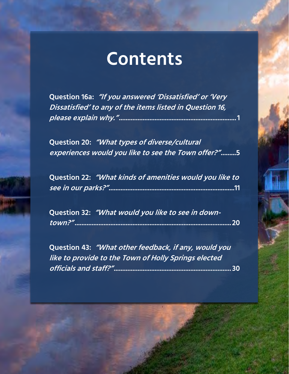## **Contents**

**Question 16a: "If you answered 'Dissatisfied' or 'Very Dissatisfied' to any of the items listed in Question 16, please explain why." ..................................................................... 1** 

**Question 20: "What types of diverse/cultural experiences would you like to see the Town offer?" .........5** 

**Question 22: "What kinds of amenities would you like to see in our parks?"..........................................................................11**

**Question 32: "What would you like to see in downtown?" ............................................................................................ 20** 

**Question 43: "What other feedback, if any, would you like to provide to the Town of Holly Springs elected officials and staff?" ..................................................................... 30**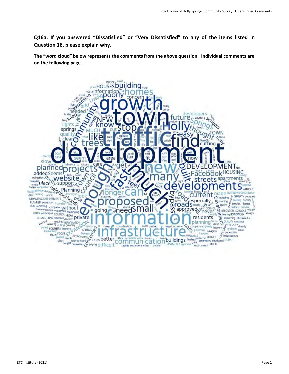**Q16a. If you answered "Dissatisfied" or "Very Dissatisfied" to any of the items listed in Question 16, please explain why.**

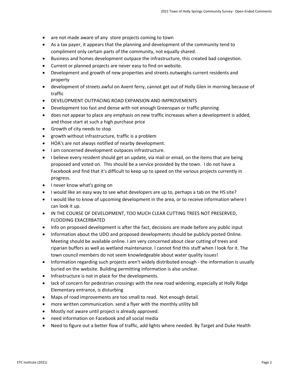- are not made aware of any store projects coming to town
- As a tax payer, it appears that the planning and development of the community tend to compliment only certain parts of the community, not equally shared.
- Business and homes development outpace the infrastructure, this created bad congestion.
- Current or planned projects are never easy to find on website.
- Development and growth of new properties and streets outweighs current residents and property
- development of streets awful on Avent ferry, cannot get out of Holly Glen in morning because of traffic
- DEVELOPMENT OUTPACING ROAD EXPANSION AND IMPROVEMENTS
- Development too fast and dense with not enough Greenspan or traffic planning
- does not appear to place any emphasis on new traffic increases when a development is added, and those start at such a high purchase price
- Growth of city needs to stop
- growth without infrastructure, traffic is a problem
- HOA's are not always notified of nearby development.
- I am concerned development outpaces infrastructure.
- I believe every resident should get an update, via mail or email, on the items that are being proposed and voted on. This should be a service provided by the town. I do not have a Facebook and find that it's difficult to keep up to speed on the various projects currently in progress.
- I never know what's going on
- I would like an easy way to see what developers are up to, perhaps a tab on the HS site?
- I would like to know of upcoming development in the area, or to receive information where I can look it up.
- IN THE COURSE OF DEVELOPMENT, TOO MUCH CLEAR CUTTING TREES NOT PRESERVED, FLOODING EXACERBATED
- info on proposed development is after the fact, decisions are made before any public input
- Information about the UDO and proposed developments should be publicly posted Online. Meeting should be available online. I am very concerned about clear cutting of trees and riparian buffers as well as wetland maintenance. I cannot find this stuff when I look for it. The town council members do not seem knowledgeable about water quality issues!
- Information regarding such projects aren't widely distributed enough the information is usually buried on the website. Building permitting information is also unclear.
- Infrastructure is not in place for the developments.
- lack of concern for pedestrian crossings with the new road widening, especially at Holly Ridge Elementary entrance, is disturbing
- Maps of road improvements are too small to read. Not enough detail.
- more written communication. send a flyer with the monthly utility bill
- Mostly not aware until project is already approved.
- need information on Facebook and all social media
- Need to figure out a better flow of traffic, add lights where needed. By Target and Duke Health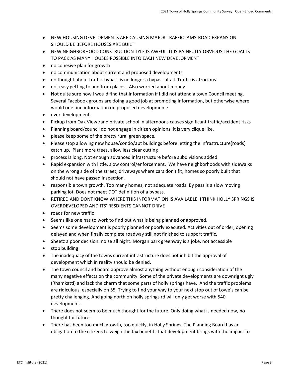- NEW HOUSING DEVELOPMENTS ARE CAUSING MAJOR TRAFFIC JAMS-ROAD EXPANSION SHOULD BE BEFORE HOUSES ARE BUILT
- NEW NEIGHBORHOOD CONSTRUCTION TYLE IS AWFUL. IT IS PAINFULLY OBVIOUS THE GOAL IS TO PACK AS MANY HOUSES POSSIBLE INTO EACH NEW DEVELOPMENT
- no cohesive plan for growth
- no communication about current and proposed developments
- no thought about traffic. bypass is no longer a bypass at all. Traffic is atrocious.
- not easy getting to and from places. Also worried about money
- Not quite sure how I would find that information if I did not attend a town Council meeting. Several Facebook groups are doing a good job at promoting information, but otherwise where would one find information on proposed development?
- over development.
- Pickup from Oak View /and private school in afternoons causes significant traffic/accident risks
- Planning board/council do not engage in citizen opinions. it is very clique like.
- please keep some of the pretty rural green space.
- Please stop allowing new house/condo/apt buildings before letting the infrastructure(roads) catch up. Plant more trees, allow less clear cutting
- process is long. Not enough advanced infrastructure before subdivisions added.
- Rapid expansion with little, slow control/enforcement. We have neighborhoods with sidewalks on the wrong side of the street, driveways where cars don't fit, homes so poorly built that should not have passed inspection.
- responsible town growth. Too many homes, not adequate roads. By pass is a slow moving parking lot. Does not meet DOT definition of a bypass.
- RETIRED AND DONT KNOW WHERE THIS INFORMATION IS AVAILABLE. I THINK HOLLY SPRINGS IS OVERDEVELOPED AND ITS' RESDIENTS CANNOT DRIVE
- roads for new traffic
- Seems like one has to work to find out what is being planned or approved.
- Seems some development is poorly planned or poorly executed. Activities out of order, opening delayed and when finally complete roadway still not finished to support traffic.
- Sheetz a poor decision. noise all night. Morgan park greenway is a joke, not accessible
- stop building
- The inadequacy of the towns current infrastructure does not inhibit the approval of development which in reality should be denied.
- The town council and board approve almost anything without enough consideration of the many negative effects on the community. Some of the private developments are downright ugly (Rhamkatti) and lack the charm that some parts of holly springs have. And the traffic problems are ridiculous, especially on 55. Trying to find your way to your next stop out of Lowe's can be pretty challenging. And going north on holly springs rd will only get worse with 540 development.
- There does not seem to be much thought for the future. Only doing what is needed now, no thought for future.
- There has been too much growth, too quickly, in Holly Springs. The Planning Board has an obligation to the citizens to weigh the tax benefits that development brings with the impact to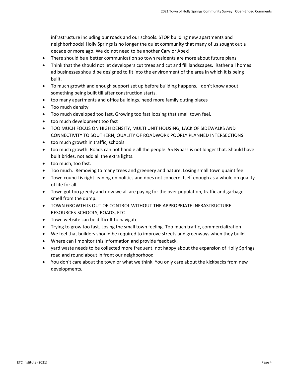infrastructure including our roads and our schools. STOP building new apartments and neighborhoods! Holly Springs is no longer the quiet community that many of us sought out a decade or more ago. We do not need to be another Cary or Apex!

- There should be a better communication so town residents are more about future plans
- Think that the should not let developers cut trees and cut and fill landscapes. Rather all homes ad businesses should be designed to fit into the environment of the area in which it is being built.
- To much growth and enough support set up before building happens. I don't know about something being built till after construction starts.
- too many apartments and office buildings. need more family outing places
- Too much density
- Too much developed too fast. Growing too fast loosing that small town feel.
- too much development too fast
- TOO MUCH FOCUS ON HIGH DENSITY, MULTI UNIT HOUSING, LACK OF SIDEWALKS AND CONNECTIVITY TO SOUTHERN, QUALITY OF ROADWORK POORLY PLANNED INTERSECTIONS
- too much growth in traffic, schools
- too much growth. Roads can not handle all the people. 55 Bypass is not longer that. Should have built brides, not add all the extra lights.
- too much, too fast.
- Too much. Removing to many trees and greenery and nature. Losing small town quaint feel
- Town council is right leaning on politics and does not concern itself enough as a whole on quality of life for all.
- Town got too greedy and now we all are paying for the over population, traffic and garbage smell from the dump.
- TOWN GROWTH IS OUT OF CONTROL WITHOUT THE APPROPRIATE INFRASTRUCTURE RESOURCES-SCHOOLS, ROADS, ETC
- Town website can be difficult to navigate
- Trying to grow too fast. Losing the small town feeling. Too much traffic, commercialization
- We feel that builders should be required to improve streets and greenways when they build.
- Where can I monitor this information and provide feedback.
- yard waste needs to be collected more frequent. not happy about the expansion of Holly Springs road and round about in front our neighborhood
- You don't care about the town or what we think. You only care about the kickbacks from new developments.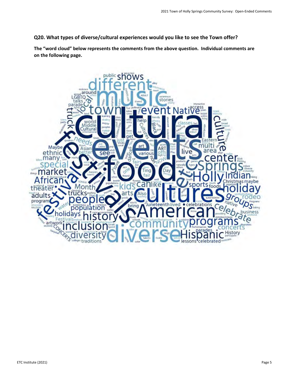**Q20. What types of diverse/cultural experiences would you like to see the Town offer?**

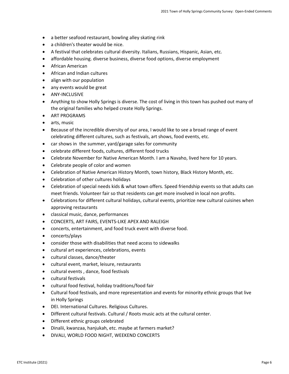- a better seafood restaurant, bowling alley skating rink
- a children's theater would be nice.
- A festival that celebrates cultural diversity. Italians, Russians, Hispanic, Asian, etc.
- affordable housing. diverse business, diverse food options, diverse employment
- African American
- African and Indian cultures
- align with our population
- any events would be great
- ANY-INCLUSIVE
- Anything to show Holly Springs is diverse. The cost of living in this town has pushed out many of the original families who helped create Holly Springs.
- ART PROGRAMS
- arts, music
- Because of the incredible diversity of our area, I would like to see a broad range of event celebrating different cultures, such as festivals, art shows, food events, etc.
- car shows in the summer, yard/garage sales for community
- celebrate different foods, cultures, different food trucks
- Celebrate November for Native American Month. I am a Navaho, lived here for 10 years.
- Celebrate people of color and women
- Celebration of Native American History Month, town history, Black History Month, etc.
- Celebration of other cultures holidays
- Celebration of special needs kids & what town offers. Speed friendship events so that adults can meet friends. Volunteer fair so that residents can get more involved in local non profits.
- Celebrations for different cultural holidays, cultural events, prioritize new cultural cuisines when approving restaurants
- classical music, dance, performances
- CONCERTS, ART FAIRS, EVENTS-LIKE APEX AND RALEIGH
- concerts, entertainment, and food truck event with diverse food.
- concerts/plays
- consider those with disabilities that need access to sidewalks
- cultural art experiences, celebrations, events
- cultural classes, dance/theater
- cultural event, market, leisure, restaurants
- cultural events , dance, food festivals
- cultural festivals
- cultural food festival, holiday traditions/food fair
- Cultural food festivals, and more representation and events for minority ethnic groups that live in Holly Springs
- DEI. International Cultures. Religious Cultures.
- Different cultural festivals. Cultural / Roots music acts at the cultural center.
- Different ethnic groups celebrated
- Dinalii, kwanzaa, hanjukah, etc. maybe at farmers market?
- DIVALI, WORLD FOOD NIGHT, WEEKEND CONCERTS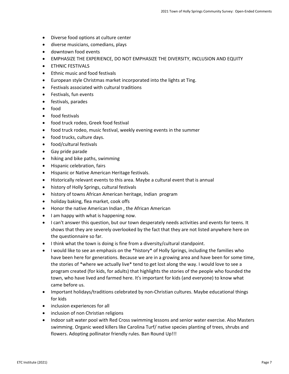- Diverse food options at culture center
- diverse musicians, comedians, plays
- downtown food events
- EMPHASIZE THE EXPERIENCE, DO NOT EMPHASIZE THE DIVERSITY, INCLUSION AND EQUITY
- ETHNIC FESTIVALS
- Ethnic music and food festivals
- European style Christmas market incorporated into the lights at Ting.
- Festivals associated with cultural traditions
- Festivals, fun events
- festivals, parades
- food
- food festivals
- food truck rodeo, Greek food festival
- food truck rodeo, music festival, weekly evening events in the summer
- food trucks, culture days.
- food/cultural festivals
- Gay pride parade
- hiking and bike paths, swimming
- Hispanic celebration, fairs
- Hispanic or Native American Heritage festivals.
- Historically relevant events to this area. Maybe a cultural event that is annual
- history of Holly Springs, cultural festivals
- history of towns African American heritage, Indian program
- holiday baking, flea market, cook offs
- Honor the native American Indian , the African American
- I am happy with what is happening now.
- I can't answer this question, but our town desperately needs activities and events for teens. It shows that they are severely overlooked by the fact that they are not listed anywhere here on the questionnaire so far.
- I think what the town is doing is fine from a diversity/cultural standpoint.
- I would like to see an emphasis on the \*history\* of Holly Springs, including the families who have been here for generations. Because we are in a growing area and have been for some time, the stories of \*where we actually live\* tend to get lost along the way. I would love to see a program created (for kids, for adults) that highlights the stories of the people who founded the town, who have lived and farmed here. It's important for kids (and everyone) to know what came before us.
- Important holidays/traditions celebrated by non-Christian cultures. Maybe educational things for kids
- inclusion experiences for all
- inclusion of non Christian religions
- Indoor salt water pool with Red Cross swimming lessons and senior water exercise. Also Masters swimming. Organic weed killers like Carolina Turf/ native species planting of trees, shrubs and flowers. Adopting pollinator friendly rules. Ban Round Up!!!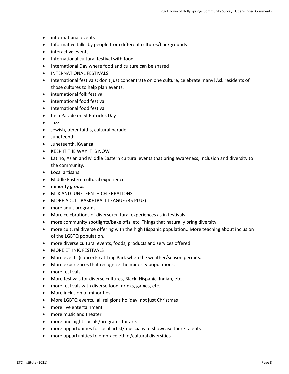- informational events
- Informative talks by people from different cultures/backgrounds
- interactive events
- International cultural festival with food
- International Day where food and culture can be shared
- INTERNATIONAL FESTIVALS
- International festivals: don't just concentrate on one culture, celebrate many! Ask residents of those cultures to help plan events.
- international folk festival
- international food festival
- International food festival
- Irish Parade on St Patrick's Day
- Jazz
- Jewish, other faiths, cultural parade
- Juneteenth
- Juneteenth, Kwanza
- KEEP IT THE WAY IT IS NOW
- Latino, Asian and Middle Eastern cultural events that bring awareness, inclusion and diversity to the community.
- Local artisans
- Middle Eastern cultural experiences
- minority groups
- MLK AND JUNETEENTH CELEBRATIONS
- MORE ADULT BASKETBALL LEAGUE (35 PLUS)
- more adult programs
- More celebrations of diverse/cultural experiences as in festivals
- more community spotlights/bake offs, etc. Things that naturally bring diversity
- more cultural diverse offering with the high Hispanic population,. More teaching about inclusion of the LGBTQ population.
- more diverse cultural events, foods, products and services offered
- MORE ETHNIC FESTIVALS
- More events (concerts) at Ting Park when the weather/season permits.
- More experiences that recognize the minority populations.
- more festivals
- More festivals for diverse cultures, Black, Hispanic, Indian, etc.
- more festivals with diverse food, drinks, games, etc.
- More inclusion of minorities.
- More LGBTQ events. all religions holiday, not just Christmas
- more live entertainment
- more music and theater
- more one night socials/programs for arts
- more opportunities for local artist/musicians to showcase there talents
- more opportunities to embrace ethic /cultural diversities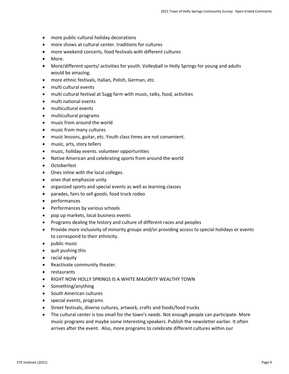- more public cultural holiday decorations
- more shows at cultural center. traditions for cultures
- more weekend concerts, food festivals with different cultures
- More.
- More/different sports/ activities for youth. Volleyball in Holly Springs for young and adults would be amazing.
- more ethnic festivals, Italian, Polish, German, etc.
- multi cultural events
- multi cultural festival at Sugg farm with music, talks, food, activities
- multi national events
- multicultural events
- multicultural programs
- music from around the world
- music from many cultures
- music lessons, guitar, etc. Youth class times are not convenient.
- music, arts, story tellers
- music, holiday events. volunteer opportunities
- Native American and celebrating sports from around the world
- Octoberfest
- Ones inline with the local colleges.
- ones that emphasize unity
- organized sports and special events as well as learning classes
- parades, fairs to sell goods, food truck rodeo
- performances
- Performances by various schools
- pop up markets, local business events
- Programs dealing the history and culture of different races and peoples
- Provide more inclusivity of minority groups and/or providing access to special holidays or events to correspond to their ethnicity.
- public music
- quit pushing this
- racial equity
- Reactivate community theater.
- restaurants
- RIGHT NOW HOLLY SPRINGS IS A WHITE MAJORITY WEALTHY TOWN
- Something/anything
- South American cultures
- special events, programs
- Street festivals, diverse cultures, artwork, crafts and foods/food trucks
- The cultural center is too small for the town's needs. Not enough people can participate. More music programs and maybe some interesting speakers. Publish the newsletter earlier. It often arrives after the event. Also, more programs to celebrate different cultures within our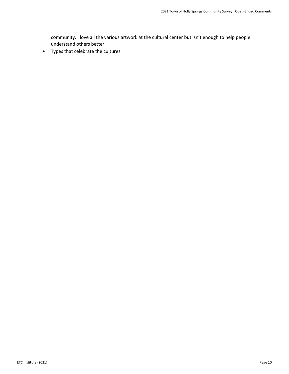community. I love all the various artwork at the cultural center but isn't enough to help people understand others better.

• Types that celebrate the cultures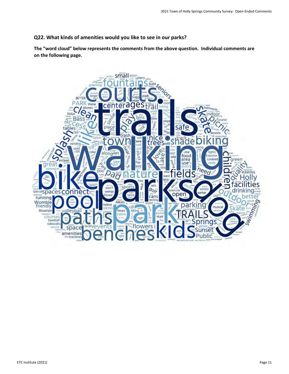## **Q22. What kinds of amenities would you like to see in our parks?**

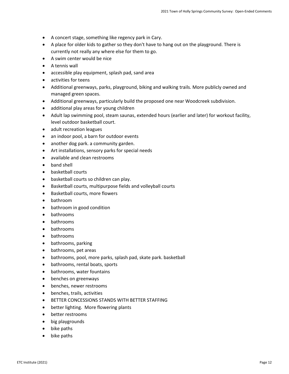- A concert stage, something like regency park in Cary.
- A place for older kids to gather so they don't have to hang out on the playground. There is currently not really any where else for them to go.
- A swim center would be nice
- A tennis wall
- accessible play equipment, splash pad, sand area
- activities for teens
- Additional greenways, parks, playground, biking and walking trails. More publicly owned and managed green spaces.
- Additional greenways, particularly build the proposed one near Woodcreek subdivision.
- additional play areas for young children
- Adult lap swimming pool, steam saunas, extended hours (earlier and later) for workout facility, level outdoor basketball court.
- adult recreation leagues
- an indoor pool, a barn for outdoor events
- another dog park. a community garden.
- Art installations, sensory parks for special needs
- available and clean restrooms
- band shell
- basketball courts
- basketball courts so children can play.
- Basketball courts, multipurpose fields and volleyball courts
- Basketball courts, more flowers
- bathroom
- bathroom in good condition
- bathrooms
- bathrooms
- bathrooms
- bathrooms
- bathrooms, parking
- bathrooms, pet areas
- bathrooms, pool, more parks, splash pad, skate park. basketball
- bathrooms, rental boats, sports
- bathrooms, water fountains
- benches on greenways
- benches, newer restrooms
- benches, trails, activities
- BETTER CONCESSIONS STANDS WITH BETTER STAFFING
- better lighting. More flowering plants
- better restrooms
- big playgrounds
- bike paths
- bike paths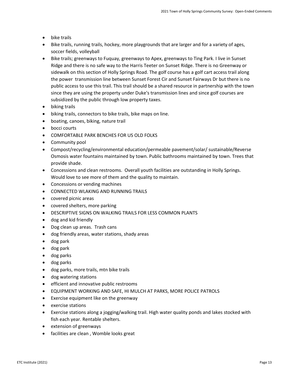- bike trails
- Bike trails, running trails, hockey, more playgrounds that are larger and for a variety of ages, soccer fields, volleyball
- Bike trails; greenways to Fuquay, greenways to Apex, greenways to Ting Park. I live in Sunset Ridge and there is no safe way to the Harris Teeter on Sunset Ridge. There is no Greenway or sidewalk on this section of Holly Springs Road. The golf course has a golf cart access trail along the power transmission line between Sunset Forest Cir and Sunset Fairways Dr but there is no public access to use this trail. This trail should be a shared resource in partnership with the town since they are using the property under Duke's transmission lines and since golf courses are subsidized by the public through low property taxes.
- biking trails
- biking trails, connectors to bike trails, bike maps on line.
- boating, canoes, biking, nature trail
- bocci courts
- COMFORTABLE PARK BENCHES FOR US OLD FOLKS
- Community pool
- Compost/recycling/environmental education/permeable pavement/solar/ sustainable/Reverse Osmosis water fountains maintained by town. Public bathrooms maintained by town. Trees that provide shade.
- Concessions and clean restrooms. Overall youth facilities are outstanding in Holly Springs. Would love to see more of them and the quality to maintain.
- Concessions or vending machines
- CONNECTED WLAKING AND RUNNING TRAILS
- covered picnic areas
- covered shelters, more parking
- DESCRIPTIVE SIGNS ON WALKING TRAILS FOR LESS COMMON PLANTS
- dog and kid friendly
- Dog clean up areas. Trash cans
- dog friendly areas, water stations, shady areas
- dog park
- dog park
- dog parks
- dog parks
- dog parks, more trails, mtn bike trails
- dog watering stations
- efficient and innovative public restrooms
- EQUIPMENT WORKING AND SAFE, HI MULCH AT PARKS, MORE POLICE PATROLS
- Exercise equipment like on the greenway
- exercise stations
- Exercise stations along a jogging/walking trail. High water quality ponds and lakes stocked with fish each year. Rentable shelters.
- extension of greenways
- facilities are clean , Womble looks great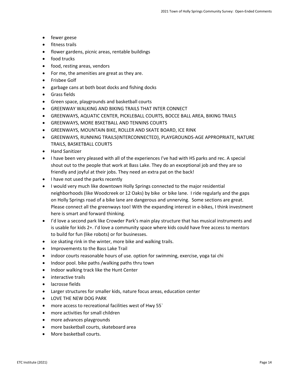- fewer geese
- fitness trails
- flower gardens, picnic areas, rentable buildings
- food trucks
- food, resting areas, vendors
- For me, the amenities are great as they are.
- Frisbee Golf
- garbage cans at both boat docks and fishing docks
- Grass fields
- Green space, playgrounds and basketball courts
- GREENWAY WALKING AND BIKING TRAILS THAT INTER CONNECT
- GREENWAYS, AQUATIC CENTER, PICKLEBALL COURTS, BOCCE BALL AREA, BIKING TRAILS
- GREENWAYS, MORE BSKETBALL AND TENNINS COURTS
- GREENWAYS, MOUNTAIN BIKE, ROLLER AND SKATE BOARD, ICE RINK
- GREENWAYS, RUNNING TRAILS(INTERCONNECTED), PLAYGROUNDS-AGE APPROPRIATE, NATURE TRAILS, BASKETBALL COURTS
- Hand Sanitizer
- I have been very pleased with all of the experiences I've had with HS parks and rec. A special shout out to the people that work at Bass Lake. They do an exceptional job and they are so friendly and joyful at their jobs. They need an extra pat on the back!
- I have not used the parks recently
- I would very much like downtown Holly Springs connected to the major residential neighborhoods (like Woodcreek or 12 Oaks) by bike or bike lane. I ride regularly and the gaps on Holly Springs road of a bike lane are dangerous and unnerving. Some sections are great. Please connect all the greenways too! With the expanding interest in e-bikes, I think investment here is smart and forward thinking.
- I'd love a second park like Crowder Park's main play structure that has musical instruments and is usable for kids 2+. I'd love a community space where kids could have free access to mentors to build for fun (like robots) or for businesses.
- ice skating rink in the winter, more bike and walking trails.
- Improvements to the Bass Lake Trail
- indoor courts reasonable hours of use. option for swimming, exercise, yoga tai chi
- Indoor pool. bike paths /walking paths thru town
- Indoor walking track like the Hunt Center
- interactive trails
- lacrosse fields
- Larger structures for smaller kids, nature focus areas, education center
- LOVE THE NEW DOG PARK
- more access to recreational facilities west of Hwy 55`
- more activities for small children
- more advances playgrounds
- more basketball courts, skateboard area
- More basketball courts.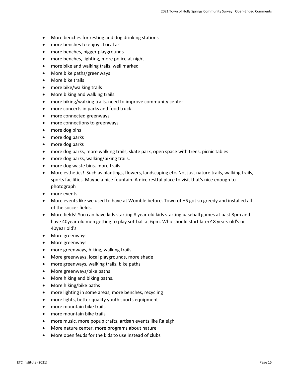- More benches for resting and dog drinking stations
- more benches to enjoy . Local art
- more benches, bigger playgrounds
- more benches, lighting, more police at night
- more bike and walking trails, well marked
- More bike paths/greenways
- More bike trails
- more bike/walking trails
- More biking and walking trails.
- more biking/walking trails. need to improve community center
- more concerts in parks and food truck
- more connected greenways
- more connections to greenways
- more dog bins
- more dog parks
- more dog parks
- more dog parks, more walking trails, skate park, open space with trees, picnic tables
- more dog parks, walking/biking trails.
- more dog waste bins. more trails
- More esthetics! Such as plantings, flowers, landscaping etc. Not just nature trails, walking trails, sports facilities. Maybe a nice fountain. A nice restful place to visit that's nice enough to photograph
- more events
- More events like we used to have at Womble before. Town of HS got so greedy and installed all of the soccer fields.
- More fields! You can have kids starting 8 year old kids starting baseball games at past 8pm and have 40year old men getting to play softball at 6pm. Who should start later? 8 years old's or 40year old's
- More greenways
- More greenways
- more greenways, hiking, walking trails
- More greenways, local playgrounds, more shade
- more greenways, walking trails, bike paths
- More greenways/bike paths
- More hiking and biking paths.
- More hiking/bike paths
- more lighting in some areas, more benches, recycling
- more lights, better quality youth sports equipment
- more mountain bike trails
- more mountain bike trails
- more music, more popup crafts, artisan events like Raleigh
- More nature center. more programs about nature
- More open feuds for the kids to use instead of clubs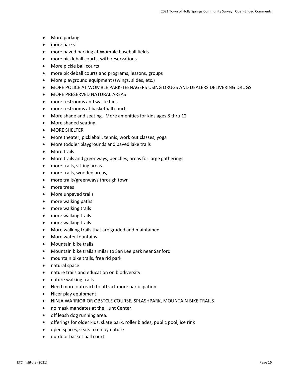- More parking
- more parks
- more paved parking at Womble baseball fields
- more pickleball courts, with reservations
- More pickle ball courts
- more pickleball courts and programs, lessons, groups
- More playground equipment (swings, slides, etc.)
- MORE POLICE AT WOMBLE PARK-TEENAGERS USING DRUGS AND DEALERS DELIVERING DRUGS
- MORE PRESERVED NATURAL AREAS
- more restrooms and waste bins
- more restrooms at basketball courts
- More shade and seating. More amenities for kids ages 8 thru 12
- More shaded seating.
- MORE SHELTER
- More theater, pickleball, tennis, work out classes, yoga
- More toddler playgrounds and paved lake trails
- More trails
- More trails and greenways, benches, areas for large gatherings.
- more trails, sitting areas.
- more trails, wooded areas,
- more trails/greenways through town
- more trees
- More unpaved trails
- more walking paths
- more walking trails
- more walking trails
- more walking trails
- More walking trails that are graded and maintained
- More water fountains
- Mountain bike trails
- Mountain bike trails similar to San Lee park near Sanford
- mountain bike trails, free rid park
- natural space
- nature trails and education on biodiversity
- nature walking trails
- Need more outreach to attract more participation
- Nicer play equipment
- NINJA WARRIOR OR OBSTCLE COURSE, SPLASHPARK, MOUNTAIN BIKE TRAILS
- no mask mandates at the Hunt Center
- off leash dog running area.
- offerings for older kids, skate park, roller blades, public pool, ice rink
- open spaces, seats to enjoy nature
- outdoor basket ball court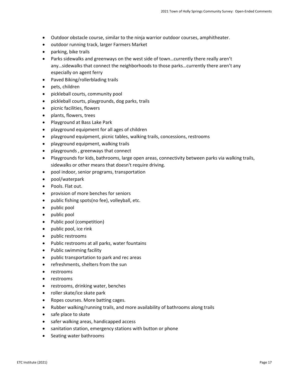- Outdoor obstacle course, similar to the ninja warrior outdoor courses, amphitheater.
- outdoor running track, larger Farmers Market
- parking, bike trails
- Parks sidewalks and greenways on the west side of town…currently there really aren't any…sidewalks that connect the neighborhoods to those parks…currently there aren't any especially on agent ferry
- Paved Biking/rollerblading trails
- pets, children
- pickleball courts, community pool
- pickleball courts, playgrounds, dog parks, trails
- picnic facilities, flowers
- plants, flowers, trees
- Playground at Bass Lake Park
- playground equipment for all ages of children
- playground equipment, picnic tables, walking trails, concessions, restrooms
- playground equipment, walking trails
- playgrounds , greenways that connect
- Playgrounds for kids, bathrooms, large open areas, connectivity between parks via walking trails, sidewalks or other means that doesn't require driving.
- pool indoor, senior programs, transportation
- pool/waterpark
- Pools. Flat out.
- provision of more benches for seniors
- public fishing spots(no fee), volleyball, etc.
- public pool
- public pool
- Public pool (competition)
- public pool, ice rink
- public restrooms
- Public restrooms at all parks, water fountains
- Public swimming facility
- public transportation to park and rec areas
- refreshments, shelters from the sun
- restrooms
- restrooms
- restrooms, drinking water, benches
- roller skate/ice skate park
- Ropes courses. More batting cages.
- Rubber walking/running trails, and more availability of bathrooms along trails
- safe place to skate
- safer walking areas, handicapped access
- sanitation station, emergency stations with button or phone
- Seating water bathrooms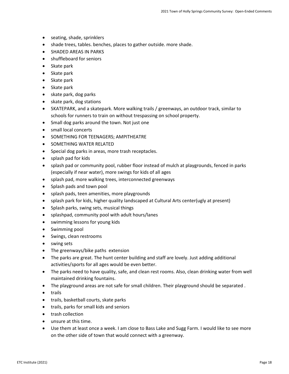- seating, shade, sprinklers
- shade trees, tables. benches, places to gather outside. more shade.
- SHADED AREAS IN PARKS
- shuffleboard for seniors
- Skate park
- Skate park
- Skate park
- Skate park
- skate park, dog parks
- skate park, dog stations
- SKATEPARK, and a skatepark. More walking trails / greenways, an outdoor track, similar to schools for runners to train on without trespassing on school property.
- Small dog parks around the town. Not just one
- small local concerts
- SOMETHING FOR TEENAGERS; AMPITHEATRE
- SOMETHING WATER RELATED
- Special dog parks in areas, more trash receptacles.
- splash pad for kids
- splash pad or community pool, rubber floor instead of mulch at playgrounds, fenced in parks (especially if near water), more swings for kids of all ages
- splash pad, more walking trees, interconnected greenways
- Splash pads and town pool
- splash pads, teen amenities, more playgrounds
- splash park for kids, higher quality landscaped at Cultural Arts center(ugly at present)
- Splash parks, swing sets, musical things
- splashpad, community pool with adult hours/lanes
- swimming lessons for young kids
- Swimming pool
- Swings, clean restrooms
- swing sets
- The greenways/bike paths extension
- The parks are great. The hunt center building and staff are lovely. Just adding additional activities/sports for all ages would be even better.
- The parks need to have quality, safe, and clean rest rooms. Also, clean drinking water from well maintained drinking fountains.
- The playground areas are not safe for small children. Their playground should be separated .
- trails
- trails, basketball courts, skate parks
- trails, parks for small kids and seniors
- trash collection
- unsure at this time.
- Use them at least once a week. I am close to Bass Lake and Sugg Farm. I would like to see more on the other side of town that would connect with a greenway.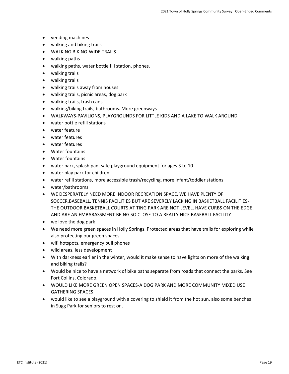- vending machines
- walking and biking trails
- WALKING BIKING-WIDE TRAILS
- walking paths
- walking paths, water bottle fill station. phones.
- walking trails
- walking trails
- walking trails away from houses
- walking trails, picnic areas, dog park
- walking trails, trash cans
- walking/biking trails, bathrooms. More greenways
- WALKWAYS-PAVILIONS, PLAYGROUNDS FOR LITTLE KIDS AND A LAKE TO WALK AROUND
- water bottle refill stations
- water feature
- water features
- water features
- Water fountains
- Water fountains
- water park, splash pad. safe playground equipment for ages 3 to 10
- water play park for children
- water refill stations, more accessible trash/recycling, more infant/toddler stations
- water/bathrooms
- WE DESPERATELY NEED MORE INDOOR RECREATION SPACE. WE HAVE PLENTY OF SOCCER,BASEBALL. TENNIS FACILITIES BUT ARE SEVERELY LACKING IN BASKETBALL FACILITIES-THE OUTDOOR BASKETBALL COURTS AT TING PARK ARE NOT LEVEL, HAVE CURBS ON THE EDGE AND ARE AN EMBARASSMENT BEING SO CLOSE TO A REALLY NICE BASEBALL FACILITY
- we love the dog park
- We need more green spaces in Holly Springs. Protected areas that have trails for exploring while also protecting our green spaces.
- wifi hotspots, emergency pull phones
- wild areas, less development
- With darkness earlier in the winter, would it make sense to have lights on more of the walking and biking trails?
- Would be nice to have a network of bike paths separate from roads that connect the parks. See Fort Collins, Colorado.
- WOULD LIKE MORE GREEN OPEN SPACES-A DOG PARK AND MORE COMMUNITY MIXED USE GATHERING SPACES
- would like to see a playground with a covering to shield it from the hot sun, also some benches in Sugg Park for seniors to rest on.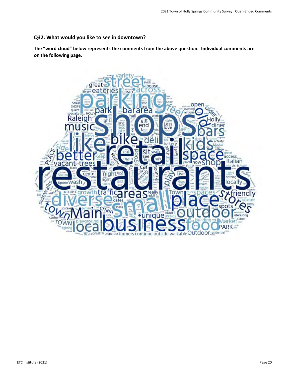## **Q32. What would you like to see in downtown?**

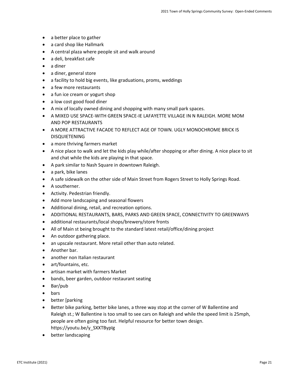- a better place to gather
- a card shop like Hallmark
- A central plaza where people sit and walk around
- a deli, breakfast cafe
- a diner
- a diner, general store
- a facility to hold big events, like graduations, proms, weddings
- a few more restaurants
- a fun ice cream or yogurt shop
- a low cost good food diner
- A mix of locally owned dining and shopping with many small park spaces.
- A MIXED USE SPACE-WITH GREEN SPACE-IE LAFAYETTE VILLAGE IN N RALEIGH. MORE MOM AND POP RESTAURANTS
- A MORE ATTRACTIVE FACADE TO REFLECT AGE OF TOWN. UGLY MONOCHROME BRICK IS DISQUIETENING
- a more thriving farmers market
- A nice place to walk and let the kids play while/after shopping or after dining. A nice place to sit and chat while the kids are playing in that space.
- A park similar to Nash Square in downtown Raleigh.
- a park, bike lanes
- A safe sidewalk on the other side of Main Street from Rogers Street to Holly Springs Road.
- A southerner.
- Activity. Pedestrian friendly.
- Add more landscaping and seasonal flowers
- Additional dining, retail, and recreation options.
- ADDITIONAL RESTAURANTS, BARS, PARKS AND GREEN SPACE, CONNECTIVITY TO GREENWAYS
- additional restaurants/local shops/brewery/store fronts
- All of Main st being brought to the standard latest retail/office/dining project
- An outdoor gathering place.
- an upscale restaurant. More retail other than auto related.
- Another bar.
- another non Italian restaurant
- art/fountains, etc.
- artisan market with farmers Market
- bands, beer garden, outdoor restaurant seating
- Bar/pub
- bars
- better [parking
- Better bike parking, better bike lanes, a three way stop at the corner of W Ballentine and Raleigh st.; W Ballentine is too small to see cars on Raleigh and while the speed limit is 25mph, people are often going too fast. Helpful resource for better town design. https://youtu.be/y\_SXXTBypIg
- better landscaping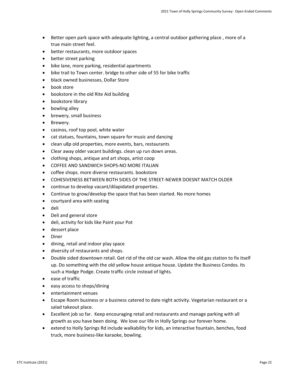- Better open park space with adequate lighting, a central outdoor gathering place , more of a true main street feel.
- better restaurants, more outdoor spaces
- better street parking
- bike lane, more parking, residential apartments
- bike trail to Town center. bridge to other side of 55 for bike traffic
- black owned businesses, Dollar Store
- book store
- bookstore in the old Rite Aid building
- bookstore library
- bowling alley
- brewery, small business
- Brewery.
- casinos, roof top pool, white water
- cat statues, fountains, town square for music and dancing
- clean u8p old properties, more events, bars, restaurants
- Clear away older vacant buildings. clean up run down areas.
- clothing shops, antique and art shops, artist coop
- COFFEE AND SANDWICH SHOPS-NO MORE ITALIAN
- coffee shops. more diverse restaurants. bookstore
- COHESIVENESS BETWEEN BOTH SIDES OF THE STREET-NEWER DOESNT MATCH OLDER
- continue to develop vacant/dilapidated properties.
- Continue to grow/develop the space that has been started. No more homes
- courtyard area with seating
- deli
- Deli and general store
- deli, activity for kids like Paint your Pot
- dessert place
- Diner
- dining, retail and indoor play space
- diversity of restaurants and shops.
- Double sided downtown retail. Get rid of the old car wash. Allow the old gas station to fix itself up. Do something with the old yellow house antique house. Update the Business Condos. Its such a Hodge Podge. Create traffic circle instead of lights.
- ease of traffic
- easy access to shops/dining
- entertainment venues
- Escape Room business or a business catered to date night activity. Vegetarian restaurant or a salad takeout place.
- Excellent job so far. Keep encouraging retail and restaurants and manage parking with all growth as you have been doing. We love our life in Holly Springs our forever home.
- extend to Holly Springs Rd include walkability for kids, an interactive fountain, benches, food truck, more business-like karaoke, bowling.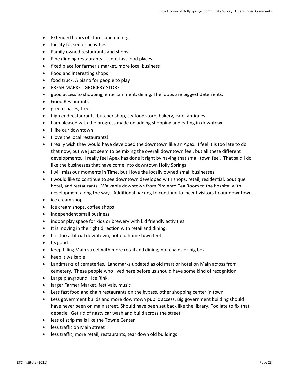- Extended hours of stores and dining.
- facility for senior activities
- Family owned restaurants and shops.
- Fine dinning restaurants . . . not fast food places.
- fixed place for farmer's market. more local business
- Food and interesting shops
- food truck. A piano for people to play
- FRESH MARKET GROCERY STORE
- good access to shopping, entertainment, dining. The loops are biggest deterrents.
- Good Restaurants
- green spaces, trees.
- high end restaurants, butcher shop, seafood store, bakery, cafe. antiques
- I am pleased with the progress made on adding shopping and eating in downtown
- I like our downtown
- I love the local restaurants!
- I really wish they would have developed the downtown like an Apex. I feel it is too late to do that now, but we just seem to be mixing the overall downtown feel, but all these different developments. I really feel Apex has done it right by having that small town feel. That said I do like the businesses that have come into downtown Holly Springs
- I will miss our moments in Time, but I love the locally owned small businesses.
- I would like to continue to see downtown developed with shops, retail, residential, boutique hotel, and restaurants. Walkable downtown from Pimiento Tea Room to the hospital with development along the way. Additional parking to continue to incent visitors to our downtown.
- ice cream shop
- Ice cream shops, coffee shops
- independent small business
- indoor play space for kids or brewery with kid friendly activities
- It is moving in the right direction with retail and dining.
- It is too artificial downtown, not old home town feel
- Its good
- Keep filling Main street with more retail and dining, not chains or big box
- keep it walkable
- Landmarks of cemeteries. Landmarks updated as old mart or hotel on Main across from cemetery. These people who lived here before us should have some kind of recognition
- Large playground. Ice Rink.
- larger Farmer Market, festivals, music
- Less fast food and chain restaurants on the bypass, other shopping center in town.
- Less government builds and more downtown public access. Big government building should have never been on main street. Should have been set back like the library. Too late to fix that debacle. Get rid of nasty car wash and build across the street.
- less of strip malls like the Towne Center
- less traffic on Main street
- less traffic, more retail, restaurants, tear down old buildings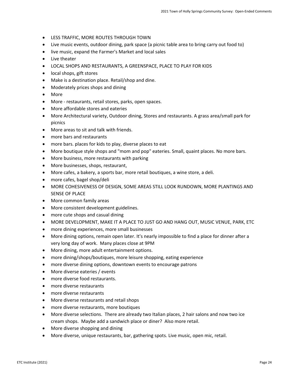- LESS TRAFFIC, MORE ROUTES THROUGH TOWN
- Live music events, outdoor dining, park space (a picnic table area to bring carry out food to)
- live music, expand the Farmer's Market and local sales
- Live theater
- LOCAL SHOPS AND RESTAURANTS, A GREENSPACE, PLACE TO PLAY FOR KIDS
- local shops, gift stores
- Make is a destination place. Retail/shop and dine.
- Moderately prices shops and dining
- More
- More restaurants, retail stores, parks, open spaces.
- More affordable stores and eateries
- More Architectural variety, Outdoor dining, Stores and restaurants. A grass area/small park for picnics
- More areas to sit and talk with friends.
- more bars and restaurants
- more bars. places for kids to play, diverse places to eat
- More boutique style shops and "mom and pop" eateries. Small, quaint places. No more bars.
- More business, more restaurants with parking
- More businesses, shops, restaurant,
- More cafes, a bakery, a sports bar, more retail boutiques, a wine store, a deli.
- more cafes, bagel shop/deli
- MORE COHESIVENESS OF DESIGN, SOME AREAS STILL LOOK RUNDOWN, MORE PLANTINGS AND SENSE OF PLACE
- More common family areas
- More consistent development guidelines.
- more cute shops and casual dining
- MORE DEVELOPMENT, MAKE IT A PLACE TO JUST GO AND HANG OUT, MUSIC VENUE, PARK, ETC
- more dining experiences, more small businesses
- More dining options, remain open later. It's nearly impossible to find a place for dinner after a very long day of work. Many places close at 9PM
- More dining, more adult entertainment options.
- more dining/shops/boutiques, more leisure shopping, eating experience
- more diverse dining options, downtown events to encourage patrons
- More diverse eateries / events
- more diverse food restaurants.
- more diverse restaurants
- more diverse restaurants
- More diverse restaurants and retail shops
- more diverse restaurants, more boutiques
- More diverse selections. There are already two Italian places, 2 hair salons and now two ice cream shops. Maybe add a sandwich place or diner? Also more retail.
- More diverse shopping and dining
- More diverse, unique restaurants, bar, gathering spots. Live music, open mic, retail.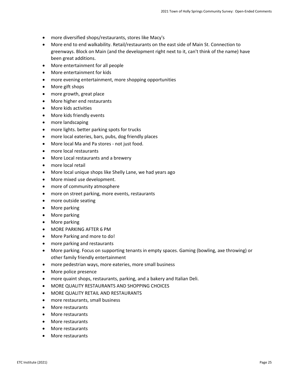- more diversified shops/restaurants, stores like Macy's
- More end to end walkability. Retail/restaurants on the east side of Main St. Connection to greenways. Block on Main (and the development right next to it, can't think of the name) have been great additions.
- More entertainment for all people
- More entertainment for kids
- more evening entertainment, more shopping opportunities
- More gift shops
- more growth, great place
- More higher end restaurants
- More kids activities
- More kids friendly events
- more landscaping
- more lights. better parking spots for trucks
- more local eateries, bars, pubs, dog friendly places
- More local Ma and Pa stores not just food.
- more local restaurants
- More Local restaurants and a brewery
- more local retail
- More local unique shops like Shelly Lane, we had years ago
- More mixed use development.
- more of community atmosphere
- more on street parking, more events, restaurants
- more outside seating
- More parking
- More parking
- More parking
- MORE PARKING AFTER 6 PM
- More Parking and more to do!
- more parking and restaurants
- More parking. Focus on supporting tenants in empty spaces. Gaming (bowling, axe throwing) or other family friendly entertainment
- more pedestrian ways, more eateries, more small business
- More police presence
- more quaint shops, restaurants, parking, and a bakery and Italian Deli.
- MORE QUALITY RESTAURANTS AND SHOPPING CHOICES
- MORE QUALITY RETAIL AND RESTAURANTS
- more restaurants, small business
- More restaurants
- More restaurants
- More restaurants
- More restaurants
- More restaurants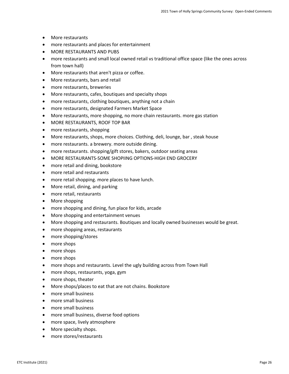- More restaurants
- more restaurants and places for entertainment
- MORE RESTAURANTS AND PUBS
- more restaurants and small local owned retail vs traditional office space (like the ones across from town hall)
- More restaurants that aren't pizza or coffee.
- More restaurants, bars and retail
- more restaurants, breweries
- More restaurants, cafes, boutiques and specialty shops
- more restaurants, clothing boutiques, anything not a chain
- more restaurants, designated Farmers Market Space
- More restaurants, more shopping, no more chain restaurants. more gas station
- MORE RESTAURANTS, ROOF TOP BAR
- more restaurants, shopping
- More restaurants, shops, more choices. Clothing, deli, lounge, bar , steak house
- more restaurants. a brewery. more outside dining.
- more restaurants. shopping/gift stores, bakers, outdoor seating areas
- MORE RESTAURANTS-SOME SHOPIING OPTIONS-HIGH END GROCERY
- more retail and dining, bookstore
- more retail and restaurants
- more retail shopping. more places to have lunch.
- More retail, dining, and parking
- more retail, restaurants
- More shopping
- more shopping and dining, fun place for kids, arcade
- More shopping and entertainment venues
- More shopping and restaurants. Boutiques and locally owned businesses would be great.
- more shopping areas, restaurants
- more shopping/stores
- more shops
- more shops
- more shops
- more shops and restaurants. Level the ugly building across from Town Hall
- more shops, restaurants, yoga, gym
- more shops, theater
- More shops/places to eat that are not chains. Bookstore
- more small business
- more small business
- more small business
- more small business, diverse food options
- more space, lively atmosphere
- More specialty shops.
- more stores/restaurants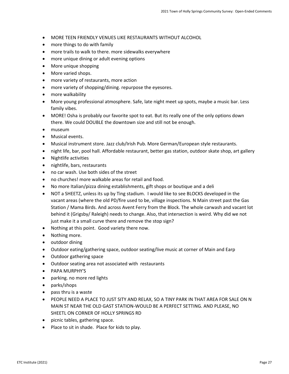- MORE TEEN FRIENDLY VENUES LIKE RESTAURANTS WITHOUT ALCOHOL
- more things to do with family
- more trails to walk to there. more sidewalks everywhere
- more unique dining or adult evening options
- More unique shopping
- More varied shops.
- more variety of restaurants, more action
- more variety of shopping/dining. repurpose the eyesores.
- more walkability
- More young professional atmosphere. Safe, late night meet up spots, maybe a music bar. Less family vibes.
- MORE! Osha is probably our favorite spot to eat. But its really one of the only options down there. We could DOUBLE the downtown size and still not be enough.
- museum
- Musical events.
- Musical instrument store. Jazz club/Irish Pub. More German/European style restaurants.
- night life, bar, pool hall. Affordable restaurant, better gas station, outdoor skate shop, art gallery
- Nightlife activities
- nightlife, bars, restaurants
- no car wash. Use both sides of the street
- no churches! more walkable areas for retail and food.
- No more Italian/pizza dining establishments, gift shops or boutique and a deli
- NOT a SHEETZ, unless its up by Ting stadium. I would like to see BLOCKS developed in the vacant areas (where the old PD/fire used to be, village inspections. N Main street past the Gas Station / Mama Birds. And across Avent Ferry from the Block. The whole carwash and vacant lot behind it (Grigsby/ Raleigh) needs to change. Also, that intersection is weird. Why did we not just make it a small curve there and remove the stop sign?
- Nothing at this point. Good variety there now.
- Nothing more.
- outdoor dining
- Outdoor eating/gathering space, outdoor seating/live music at corner of Main and Earp
- Outdoor gathering space
- Outdoor seating area not associated with restaurants
- PAPA MURPHY'S
- parking. no more red lights
- parks/shops
- pass thru is a waste
- PEOPLE NEED A PLACE TO JUST SITY AND RELAX, SO A TINY PARK IN THAT AREA FOR SALE ON N MAIN ST NEAR THE OLD GAST STATION-WOULD BE A PERFECT SETTING. AND PLEASE, NO SHEETL ON CORNER OF HOLLY SPRINGS RD
- picnic tables, gathering space.
- Place to sit in shade. Place for kids to play.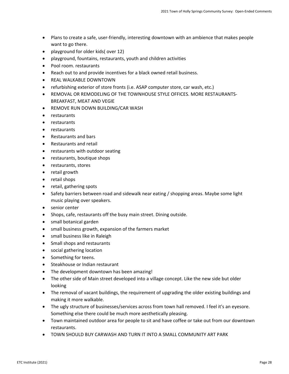- Plans to create a safe, user-friendly, interesting downtown with an ambience that makes people want to go there.
- playground for older kids( over 12)
- playground, fountains, restaurants, youth and children activities
- Pool room. restaurants
- Reach out to and provide incentives for a black owned retail business.
- REAL WALKABLE DOWNTOWN
- refurbishing exterior of store fronts (i.e. ASAP computer store, car wash, etc.)
- REMOVAL OR REMODELING OF THE TOWNHOUSE STYLE OFFICES. MORE RESTAURANTS-BREAKFAST, MEAT AND VEGIE
- REMOVE RUN DOWN BUILDING/CAR WASH
- restaurants
- restaurants
- restaurants
- Restaurants and bars
- Restaurants and retail
- restaurants with outdoor seating
- restaurants, boutique shops
- restaurants, stores
- retail growth
- retail shops
- retail, gathering spots
- Safety barriers between road and sidewalk near eating / shopping areas. Maybe some light music playing over speakers.
- senior center
- Shops, cafe, restaurants off the busy main street. Dining outside.
- small botanical garden
- small business growth, expansion of the farmers market
- small business like in Raleigh
- Small shops and restaurants
- social gathering location
- Something for teens.
- Steakhouse or Indian restaurant
- The development downtown has been amazing!
- The other side of Main street developed into a village concept. Like the new side but older looking
- The removal of vacant buildings, the requirement of upgrading the older existing buildings and making it more walkable.
- The ugly structure of businesses/services across from town hall removed. I feel it's an eyesore. Something else there could be much more aesthetically pleasing.
- Town maintained outdoor area for people to sit and have coffee or take out from our downtown restaurants.
- TOWN SHOULD BUY CARWASH AND TURN IT INTO A SMALL COMMUNITY ART PARK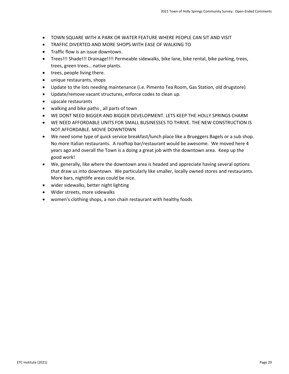- TOWN SQUARE WITH A PARK OR WATER FEATURE WHERE PEOPLE CAN SIT AND VISIT
- TRAFFIC DIVERTED AND MORE SHOPS WITH EASE OF WALKING TO
- Traffic flow is an issue downtown.
- Trees!!! Shade!!! Drainage!!!! Permeable sidewalks, bike lane, bike rental, bike parking, trees, trees, green trees… native plants.
- trees, people living there.
- unique restaurants, shops
- Update to the lots needing maintenance (i.e. Pimento Tea Room, Gas Station, old drugstore)
- Update/remove vacant structures, enforce codes to clean up.
- upscale restaurants
- walking and bike paths , all parts of town
- WE DONT NEED BIGGER AND BIGGER DEVELOPMENT. LETS KEEP THE HOLLY SPRINGS CHARM
- WE NEED AFFORDABLE UNITS FOR SMALL BUSINESSES TO THRIVE. THE NEW CONSTRUCTION IS NOT AFFORDABLE. MOVIE DOWNTOWN
- We need some type of quick service breakfast/lunch place like a Brueggers Bagels or a sub shop. No more Italian restaurants. A rooftop bar/restaurant would be awesome. We moved here 4 years ago and overall the Town is a doing a great job with the downtown area. Keep up the good work!
- We, generally, like where the downtown area is headed and appreciate having several options that draw us into downtown. We particularly like smaller, locally owned stores and restaurants. More bars, nightlife areas could be nice.
- wider sidewalks, better night lighting
- Wider streets, more sidewalks
- women's clothing shops, a non chain restaurant with healthy foods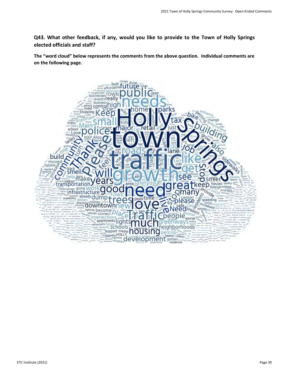**Q43. What other feedback, if any, would you like to provide to the Town of Holly Springs elected officials and staff?**

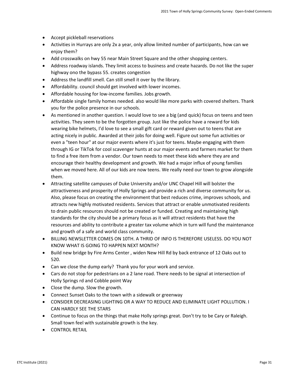- Accept pickleball reservations
- Activities in Hurrays are only 2x a year, only allow limited number of participants, how can we enjoy them?
- Add crosswalks on hwy 55 near Main Street Square and the other shopping centers.
- Address roadway islands. They limit access to business and create hazards. Do not like the super highway ono the bypass 55. creates congestion
- Address the landfill smell. Can still smell it over by the library.
- Affordability. council should get involved with lower incomes.
- Affordable housing for low-income families. Jobs growth.
- Affordable single family homes needed. also would like more parks with covered shelters. Thank you for the police presence in our schools.
- As mentioned in another question. I would love to see a big (and quick) focus on teens and teen activities. They seem to be the forgotten group. Just like the police have a reward for kids wearing bike helmets, I'd love to see a small gift card or reward given out to teens that are acting nicely in public. Awarded at their jobs for doing well. Figure out some fun activities or even a "teen hour" at our major events where it's just for teens. Maybe engaging with them through IG or TikTok for cool scavenger hunts at our major events and farmers market for them to find a free item from a vendor. Our town needs to meet these kids where they are and encourage their healthy development and growth. We had a major influx of young families when we moved here. All of our kids are now teens. We really need our town to grow alongside them.
- Attracting satellite campuses of Duke University and/or UNC Chapel Hill will bolster the attractiveness and prosperity of Holly Springs and provide a rich and diverse community for us. Also, please focus on creating the environment that best reduces crime, improves schools, and attracts new highly motivated residents. Services that attract or enable unmotivated residents to drain public resources should not be created or funded. Creating and maintaining high standards for the city should be a primary focus as it will attract residents that have the resources and ability to contribute a greater tax volume which in turn will fund the maintenance and growth of a safe and world class community.
- BILLING NEWSLETTER COMES ON 10TH. A THRID OF INFO IS THEREFORE USELESS. DO YOU NOT KNOW WHAT IS GOING TO HAPPEN NEXT MONTH?
- Build new bridge by Fire Arms Center , widen New Hill Rd by back entrance of 12 Oaks out to 520.
- Can we close the dump early? Thank you for your work and service.
- Cars do not stop for pedestrians on a 2 lane road. There needs to be signal at intersection of Holly Springs rd and Cobble point Way
- Close the dump. Slow the growth.
- Connect Sunset Oaks to the town with a sidewalk or greenway
- CONSIDER DECREASING LIGHTING OR A WAY TO REDUCE AND ELIMINATE LIGHT POLLUTION. I CAN HARDLY SEE THE STARS
- Continue to focus on the things that make Holly springs great. Don't try to be Cary or Raleigh. Small town feel with sustainable growth is the key.
- CONTROL RETAIL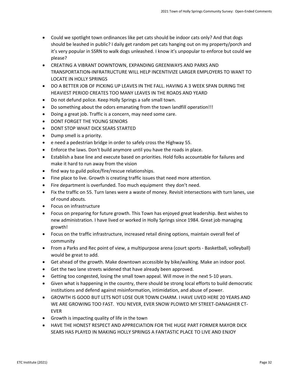- Could we spotlight town ordinances like pet cats should be indoor cats only? And that dogs should be leashed in public? I daily get random pet cats hanging out on my property/porch and it's very popular in SSRN to walk dogs unleashed. I know it's unpopular to enforce but could we please?
- CREATING A VIBRANT DOWNTOWN, EXPANDING GREENWAYS AND PARKS AND TRANSPORTATION-INFRATRUCTURE WILL HELP INCENTIVIZE LARGER EMPLOYERS TO WANT TO LOCATE IN HOLLY SPRINGS
- DO A BETTER JOB OF PICKING UP LEAVES IN THE FALL. HAVING A 3 WEEK SPAN DURING THE HEAVIEST PERIOD CREATES TOO MANY LEAVES IN THE ROADS AND YEARD
- Do not defund police. Keep Holly Springs a safe small town.
- Do something about the odors emanating from the town landfill operation!!!
- Doing a great job. Traffic is a concern, may need some care.
- DONT FORGET THE YOUNG SENIORS
- DONT STOP WHAT DICK SEARS STARTED
- Dump smell is a priority.
- e need a pedestrian bridge in order to safely cross the Highway 55.
- Enforce the laws. Don't build anymore until you have the roads in place.
- Establish a base line and execute based on priorities. Hold folks accountable for failures and make it hard to run away from the vision
- find way to guild police/fire/rescue relationships.
- Fine place to live. Growth is creating traffic issues that need more attention.
- Fire department is overfunded. Too much equipment they don't need.
- Fix the traffic on 55. Turn lanes were a waste of money. Revisit intersections with turn lanes, use of round abouts.
- Focus on infrastructure
- Focus on preparing for future growth. This Town has enjoyed great leadership. Best wishes to new administration. I have lived or worked in Holly Springs since 1984. Great job managing growth!
- Focus on the traffic infrastructure, increased retail dining options, maintain overall feel of community
- From a Parks and Rec point of view, a multipurpose arena (court sports Basketball, volleyball) would be great to add.
- Get ahead of the growth. Make downtown accessible by bike/walking. Make an indoor pool.
- Get the two lane streets widened that have already been approved.
- Getting too congested, losing the small town appeal. Will move in the next 5-10 years.
- Given what is happening in the country, there should be strong local efforts to build democratic institutions and defend against misinformation, intimidation, and abuse of power.
- GROWTH IS GOOD BUT LETS NOT LOSE OUR TOWN CHARM. I HAVE LIVED HERE 20 YEARS AND WE ARE GROWING TOO FAST. YOU NEVER, EVER SNOW PLOWED MY STREET-DANAGHER CT-EVER
- Growth is impacting quality of life in the town
- HAVE THE HONEST RESPECT AND APPRECIATION FOR THE HUGE PART FORMER MAYOR DICK SEARS HAS PLAYED IN MAKING HOLLY SPRINGS A FANTASTIC PLACE TO LIVE AND ENJOY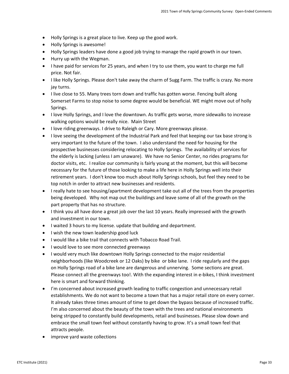- Holly Springs is a great place to live. Keep up the good work.
- Holly Springs is awesome!
- Holly Springs leaders have done a good job trying to manage the rapid growth in our town.
- Hurry up with the Wegman.
- I have paid for services for 25 years, and when I try to use them, you want to charge me full price. Not fair.
- I like Holly Springs. Please don't take away the charm of Sugg Farm. The traffic is crazy. No more jay turns.
- I live close to 55. Many trees torn down and traffic has gotten worse. Fencing built along Somerset Farms to stop noise to some degree would be beneficial. WE might move out of holly Springs.
- I love Holly Springs, and I love the downtown. As traffic gets worse, more sidewalks to increase walking options would be really nice. Main Street
- I love riding greenways. I drive to Raleigh or Cary. More greenways please.
- I love seeing the development of the Industrial Park and feel that keeping our tax base strong is very important to the future of the town. I also understand the need for housing for the prospective businesses considering relocating to Holly Springs. The availability of services for the elderly is lacking (unless I am unaware). We have no Senior Center, no rides programs for doctor visits, etc. I realize our community is fairly young at the moment, but this will become necessary for the future of those looking to make a life here in Holly Springs well into their retirement years. I don't know too much about Holly Springs schools, but feel they need to be top notch in order to attract new businesses and residents.
- I really hate to see housing/apartment development take out all of the trees from the properties being developed. Why not map out the buildings and leave some of all of the growth on the part property that has no structure.
- I think you all have done a great job over the last 10 years. Really impressed with the growth and investment in our town.
- I waited 3 hours to my license. update that building and department.
- I wish the new town leadership good luck
- I would like a bike trail that connects with Tobacco Road Trail.
- I would love to see more connected greenways
- I would very much like downtown Holly Springs connected to the major residential neighborhoods (like Woodcreek or 12 Oaks) by bike or bike lane. I ride regularly and the gaps on Holly Springs road of a bike lane are dangerous and unnerving. Some sections are great. Please connect all the greenways too!. With the expanding interest in e-bikes, I think investment here is smart and forward thinking.
- I'm concerned about increased growth leading to traffic congestion and unnecessary retail establishments. We do not want to become a town that has a major retail store on every corner. It already takes three times amount of time to get down the bypass because of increased traffic. I'm also concerned about the beauty of the town with the trees and national environments being stripped to constantly build developments, retail and businesses. Please slow down and embrace the small town feel without constantly having to grow. It's a small town feel that attracts people.
- improve yard waste collections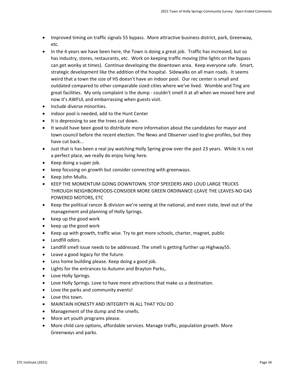- Improved timing on traffic signals 55 bypass. More attractive business district, park, Greenway, etc.
- In the 4 years we have been here, the Town is doing a great job. Traffic has increased, but so has industry, stores, restaurants, etc. Work on keeping traffic moving (the lights on the bypass can get wonky at times). Continue developing the downtown area. Keep everyone safe. Smart, strategic development like the addition of the hospital. Sidewalks on all main roads. It seems weird that a town the size of HS doesn't have an indoor pool. Our rec center is small and outdated compared to other comparable sized cities where we've lived. Womble and Ting are great facilities. My only complaint is the dump - couldn't smell it at all when we moved here and now it's AWFUL and embarrassing when guests visit.
- Include diverse minorities.
- indoor pool is needed, add to the Hunt Center
- It is depressing to see the trees cut down.
- It would have been good to distribute more information about the candidates for mayor and town council before the recent election. The News and Observer used to give profiles, but they have cut back...
- Just that is has been a real joy watching Holly Spring grow over the past 23 years. While it is not a perfect place, we really do enjoy living here.
- Keep doing a super job.
- keep focusing on growth but consider connecting with greenways.
- Keep John Mullis.
- KEEP THE MOMENTUM GOING DOWNTOWN. STOP SPEEDERS AND LOUD LARGE TRUCKS THROUGH NEIGHBORHOODS-CONSIDER MORE GREEN ORDINANCE-LEAVE THE LEAVES-NO GAS POWERED MOTORS, ETC
- Keep the political rancor & division we're seeing at the national, and even state, level out of the management and planning of Holly Springs.
- keep up the good work
- keep up the good work
- Keep up with growth, traffic wise. Try to get more schools, charter, magnet, public
- Landfill odors.
- Landfill smell issue needs to be addressed. The smell is getting further up Highway55.
- Leave a good legacy for the future.
- Less home building please. Keep doing a good job.
- Lights for the entrances to Autumn and Brayton Parks,.
- Love Holly Springs.
- Love Holly Springs. Love to have more attractions that make us a destination.
- Love the parks and community events!
- Love this town.
- MAINTAIN HONESTY AND INTEGRITY IN ALL THAT YOU DO
- Management of the dump and the smells.
- More art youth programs please.
- More child care options, affordable services. Manage traffic, population growth. More Greenways and parks.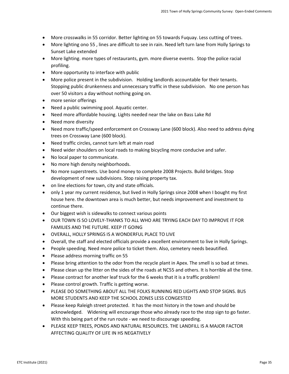- More crosswalks in 55 corridor. Better lighting on 55 towards Fuquay. Less cutting of trees.
- More lighting ono 55 , lines are difficult to see in rain. Need left turn lane from Holly Springs to Sunset Lake extended
- More lighting. more types of restaurants, gym. more diverse events. Stop the police racial profiling.
- More opportunity to interface with public
- More police present in the subdivision. Holding landlords accountable for their tenants. Stopping public drunkenness and unnecessary traffic in these subdivision. No one person has over 50 visitors a day without nothing going on.
- more senior offerings
- Need a public swimming pool. Aquatic center.
- Need more affordable housing. Lights needed near the lake on Bass Lake Rd
- Need more diversity
- Need more traffic/speed enforcement on Crossway Lane (600 block). Also need to address dying trees on Crossway Lane (600 block).
- Need traffic circles, cannot turn left at main road
- Need wider shoulders on local roads to making bicycling more conducive and safer.
- No local paper to communicate.
- No more high density neighborhoods.
- No more superstreets. Use bond money to complete 2008 Projects. Build bridges. Stop development of new subdivisions. Stop raising property tax.
- on line elections for town, city and state officials.
- only 1 year my current residence, but lived in Holly Springs since 2008 when I bought my first house here. the downtown area is much better, but needs improvement and investment to continue there.
- Our biggest wish is sidewalks to connect various points
- OUR TOWN IS SO LOVELY-THANKS TO ALL WHO ARE TRYING EACH DAY TO IMPROVE IT FOR FAMILIES AND THE FUTURE. KEEP IT GOING
- OVERALL, HOLLY SPRINGS IS A WONDERFUL PLACE TO LIVE
- Overall, the staff and elected officials provide a excellent environment to live in Holly Springs.
- People speeding. Need more police to ticket them. Also, cemetery needs beautified.
- Please address morning traffic on 55
- Please bring attention to the odor from the recycle plant in Apex. The smell is so bad at times.
- Please clean up the litter on the sides of the roads at NC55 and others. It is horrible all the time.
- Please contract for another leaf truck for the 6 weeks that it is a traffic problem!
- Please control growth. Traffic is getting worse.
- PLEASE DO SOMETHING ABOUT ALL THE FOLKS RUNNING RED LIGHTS AND STOP SIGNS. BUS MORE STUDENTS AND KEEP THE SCHOOL ZONES LESS CONGESTED
- Please keep Raleigh street protected. It has the most history in the town and should be acknowledged. Widening will encourage those who already race to the stop sign to go faster. With this being part of the run route - we need to discourage speeding.
- PLEASE KEEP TREES, PONDS AND NATURAL RESOURCES. THE LANDFILL IS A MAJOR FACTOR AFFECTING QUALITY OF LIFE IN HS NEGATIVELY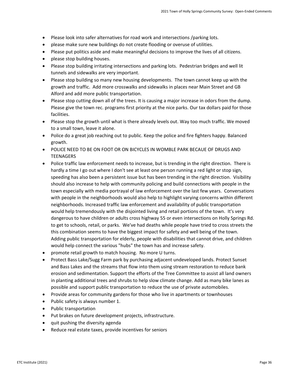- Please look into safer alternatives for road work and intersections /parking lots.
- please make sure new buildings do not create flooding or overuse of utilities.
- Please put politics aside and make meaningful decisions to improve the lives of all citizens.
- please stop building houses.
- Please stop building irritating intersections and parking lots. Pedestrian bridges and well lit tunnels and sidewalks are very important.
- Please stop building so many new housing developments. The town cannot keep up with the growth and traffic. Add more crosswalks and sidewalks in places near Main Street and GB Alford and add more public transportation.
- Please stop cutting down all of the trees. It is causing a major increase in odors from the dump. Please give the town rec. programs first priority at the nice parks. Our tax dollars paid for those facilities.
- Please stop the growth until what is there already levels out. Way too much traffic. We moved to a small town, leave it alone.
- Police do a great job reaching out to public. Keep the police and fire fighters happy. Balanced growth.
- POLICE NEED TO BE ON FOOT OR ON BICYCLES IN WOMBLE PARK BECAUE OF DRUGS AND **TEENAGERS**
- Police traffic law enforcement needs to increase, but is trending in the right direction. There is hardly a time I go out where I don't see at least one person running a red light or stop sign, speeding has also been a persistent issue but has been trending in the right direction. Visibility should also increase to help with community policing and build connections with people in the town especially with media portrayal of law enforcement over the last few years. Conversations with people in the neighborhoods would also help to highlight varying concerns within different neighborhoods. Increased traffic law enforcement and availability of public transportation would help tremendously with the disjointed living and retail portions of the town. It's very dangerous to have children or adults cross highway 55 or even intersections on Holly Springs Rd. to get to schools, retail, or parks. We've had deaths while people have tried to cross streets the this combination seems to have the biggest impact for safety and well being of the town. Adding public transportation for elderly, people with disabilities that cannot drive, and children would help connect the various "hubs" the town has and increase safety.
- promote retail growth to match housing. No more U turns.
- Protect Bass Lake/Sugg Farm park by purchasing adjacent undeveloped lands. Protect Sunset and Bass Lakes and the streams that flow into them using stream restoration to reduce bank erosion and sedimentation. Support the efforts of the Tree Committee to assist all land owners in planting additional trees and shrubs to help slow climate change. Add as many bike lanes as possible and support public transportation to reduce the use of private automobiles.
- Provide areas for community gardens for those who live in apartments or townhouses
- Public safety is always number 1.
- Public transportation
- Put brakes on future development projects, infrastructure.
- quit pushing the diversity agenda
- Reduce real estate taxes, provide incentives for seniors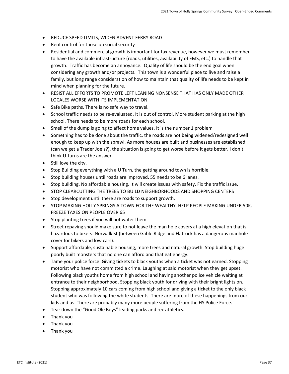- REDUCE SPEED LIMITS, WIDEN ADVENT FERRY ROAD
- Rent control for those on social security
- Residential and commercial growth is important for tax revenue, however we must remember to have the available infrastructure (roads, utilities, availability of EMS, etc.) to handle that growth. Traffic has become an annoyance. Quality of life should be the end goal when considering any growth and/or projects. This town is a wonderful place to live and raise a family, but long range consideration of how to maintain that quality of life needs to be kept in mind when planning for the future.
- RESIST ALL EFFORTS TO PROMOTE LEFT LEANING NONSENSE THAT HAS ONLY MADE OTHER LOCALES WORSE WITH ITS IMPLEMENTATION
- Safe Bike paths. There is no safe way to travel.
- School traffic needs to be re-evaluated. It is out of control. More student parking at the high school. There needs to be more roads for each school.
- Smell of the dump is going to affect home values. It is the number 1 problem
- Something has to be done about the traffic, the roads are not being widened/redesigned well enough to keep up with the sprawl. As more houses are built and businesses are established (can we get a Trader Joe's?), the situation is going to get worse before it gets better. I don't think U-turns are the answer.
- Still love the city.
- Stop Building everything with a U Turn, the getting around town is horrible.
- Stop building houses until roads are improved. 55 needs to be 6 lanes.
- Stop building. No affordable housing. It will create issues with safety. Fix the traffic issue.
- STOP CLEARCUTTING THE TREES TO BUILD NEIGHBORHOODS AND SHOPPING CENTERS
- Stop development until there are roads to support growth.
- STOP MAKING HOLLY SPRINGS A TOWN FOR THE WEALTHY. HELP PEOPLE MAKING UNDER 50K. FREEZE TAXES ON PEOPLE OVER 65
- Stop planting trees if you will not water them
- Street repaving should make sure to not leave the man hole covers at a high elevation that is hazardous to bikers. Norwalk St (between Gable Ridge and Flatrock has a dangerous manhole cover for bikers and low cars).
- Support affordable, sustainable housing, more trees and natural growth. Stop building huge poorly built monsters that no one can afford and that eat energy.
- Tame your police force. Giving tickets to black youths when a ticket was not earned. Stopping motorist who have not committed a crime. Laughing at said motorist when they get upset. Following black youths home from high school and having another police vehicle waiting at entrance to their neighborhood. Stopping black youth for driving with their bright lights on. Stopping approximately 10 cars coming from high school and giving a ticket to the only black student who was following the white students. There are more of these happenings from our kids and us. There are probably many more people suffering from the HS Police Force.
- Tear down the "Good Ole Boys" leading parks and rec athletics.
- Thank you
- Thank you
- Thank you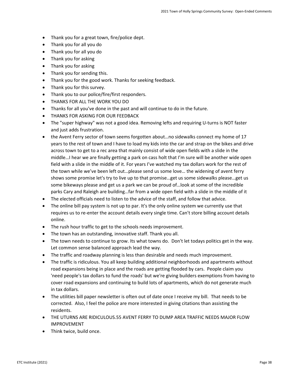- Thank you for a great town, fire/police dept.
- Thank you for all you do
- Thank you for all you do
- Thank you for asking
- Thank you for asking
- Thank you for sending this.
- Thank you for the good work. Thanks for seeking feedback.
- Thank you for this survey.
- Thank you to our police/fire/first responders.
- THANKS FOR ALL THE WORK YOU DO
- Thanks for all you've done in the past and will continue to do in the future.
- THANKS FOR ASKING FOR OUR FEEDBACK
- The "super highway" was not a good idea. Removing lefts and requiring U-turns is NOT faster and just adds frustration.
- the Avent Ferry sector of town seems forgotten about...no sidewalks connect my home of 17 years to the rest of town and I have to load my kids into the car and strap on the bikes and drive across town to get to a rec area that mainly consist of wide open fields with a slide in the middle…I hear we are finally getting a park on cass holt that I'm sure will be another wide open field with a slide in the middle of it. For years I've watched my tax dollars work for the rest of the town while we've been left out…please send us some love… the widening of avent ferry shows some promise let's try to live up to that promise…get us some sidewalks please…get us some bikeways please and get us a park we can be proud of…look at some of the incredible parks Cary and Raleigh are building…far from a wide open field with a slide in the middle of it
- The elected officials need to listen to the advice of the staff, and follow that advice.
- The online bill pay system is not up to par. It's the only online system we currently use that requires us to re-enter the account details every single time. Can't store billing account details online.
- The rush hour traffic to get to the schools needs improvement.
- The town has an outstanding, innovative staff. Thank you all.
- The town needs to continue to grow. Its what towns do. Don't let todays politics get in the way. Let common sense balanced approach lead the way.
- The traffic and roadway planning is less than desirable and needs much improvement.
- The traffic is ridiculous. You all keep building additional neighborhoods and apartments without road expansions being in place and the roads are getting flooded by cars. People claim you 'need people's tax dollars to fund the roads' but we're giving builders exemptions from having to cover road expansions and continuing to build lots of apartments, which do not generate much in tax dollars.
- The utilities bill paper newsletter is often out of date once I receive my bill. That needs to be corrected. Also, I feel the police are more interested in giving citations than assisting the residents.
- THE UTURNS ARE RIDICULOUS.55 AVENT FERRY TO DUMP AREA TRAFFIC NEEDS MAJOR FLOW IMPROVEMENT
- Think twice, build once.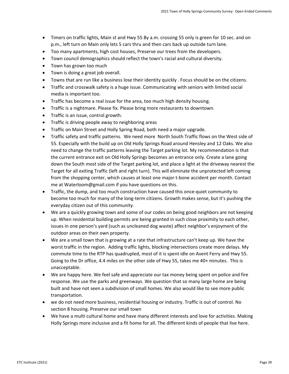- Timers on traffic lights, Main st and Hwy 55 By a.m. crossing 55 only is green for 10 sec. and on p.m., left turn on Main only lets 5 cars thru and then cars back up outside turn lane.
- Too many apartments, high cost houses, Preserve our trees from the developers.
- Town council demographics should reflect the town's racial and cultural diversity.
- Town has grown too much
- Town is doing a great job overall.
- Towns that are run like a business lose their identity quickly . Focus should be on the citizens.
- Traffic and crosswalk safety is a huge issue. Communicating with seniors with limited social media is important too.
- Traffic has become a real issue for the area, too much high density housing.
- Traffic is a nightmare. Please fix. Please bring more restaurants to downtown.
- Traffic is an issue, control growth.
- Traffic is driving people away to neighboring areas
- Traffic on Main Street and Holly Spring Road, both need a major upgrade.
- Traffic safety and traffic patterns. We need more North South Traffic flows on the West side of 55. Especially with the build up on Old Holly Springs Road around Hensley and 12 Oaks. We also need to change the traffic patterns leaving the Target parking lot. My recommendation is that the current entrance exit on Old Holly Springs becomes an entrance only. Create a lane going down the South most side of the Target parking lot, and place a light at the driveway nearest the Target for all exiting Traffic (left and right turn). This will eliminate the unprotected left coming from the shopping center, which causes at least one major t-bone accident per month. Contact me at Waterloom@gmail.com if you have questions on this.
- Traffic, the dump, and too much construction have caused this once-quiet community to become too much for many of the long-term citizens. Growth makes sense, but it's pushing the everyday citizen out of this community.
- We are a quickly growing town and some of our codes on being good neighbors are not keeping up. When residential building permits are being granted in such close proximity to each other, issues in one person's yard (such as uncleaned dog waste) affect neighbor's enjoyment of the outdoor areas on their own property.
- We are a small town that is growing at a rate that infrastructure can't keep up. We have the worst traffic in the region. Adding traffic lights, blocking intersections create more delays. My commute time to the RTP has quadrupled, most of it is spent idle on Avent Ferry and Hwy 55. Going to the Dr office, 4.4 miles on the other side of Hwy 55, takes me 40+ minutes. This is unacceptable.
- We are happy here. We feel safe and appreciate our tax money being spent on police and fire response. We use the parks and greenways. We question that so many large home are being built and have not seen a subdivision of small homes. We also would like to see more public transportation.
- we do not need more business, residential housing or industry. Traffic is out of control. No section 8 housing. Preserve our small town
- We have a multi cultural home and have many different interests and love for activities. Making Holly Springs more inclusive and a fit home for all. The different kinds of people that live here.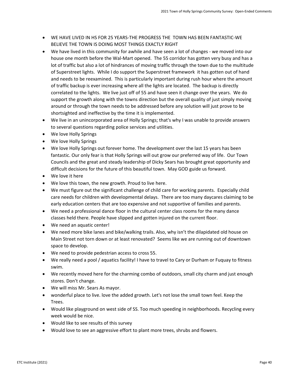- WE HAVE LIVED IN HS FOR 25 YEARS-THE PROGRESS THE TOWN HAS BEEN FANTASTIC-WE BELIEVE THE TOWN IS DOING MOST THINGS EXACTLY RIGHT
- We have lived in this community for awhile and have seen a lot of changes we moved into our house one month before the Wal-Mart opened. The 55 corridor has gotten very busy and has a lot of traffic but also a lot of hindrances of moving traffic through the town due to the multitude of Superstreet lights. While I do support the Superstreet framework it has gotten out of hand and needs to be reexamined. This is particularly important during rush hour where the amount of traffic backup is ever increasing where all the lights are located. The backup is directly correlated to the lights. We live just off of 55 and have seen it change over the years. We do support the growth along with the towns direction but the overall quality of just simply moving around or through the town needs to be addressed before any solution will just prove to be shortsighted and ineffective by the time it is implemented.
- We live in an unincorporated area of Holly Springs; that's why I was unable to provide answers to several questions regarding police services and utilities.
- We love Holly Springs
- We love Holly Springs
- We love Holly Springs out forever home. The development over the last 15 years has been fantastic. Our only fear is that Holly Springs will out grow our preferred way of life. Our Town Councils and the great and steady leadership of Dicky Sears has brought great opportunity and difficult decisions for the future of this beautiful town. May GOD guide us forward.
- We love it here
- We love this town, the new growth. Proud to live here.
- We must figure out the significant challenge of child care for working parents. Especially child care needs for children with developmental delays. There are too many daycares claiming to be early education centers that are too expensive and not supportive of families and parents.
- We need a professional dance floor in the cultural center class rooms for the many dance classes held there. People have slipped and gotten injured on the current floor.
- We need an aquatic center!
- We need more bike lanes and bike/walking trails. Also, why isn't the dilapidated old house on Main Street not torn down or at least renovated? Seems like we are running out of downtown space to develop.
- We need to provide pedestrian access to cross 55.
- We really need a pool / aquatics facility! I have to travel to Cary or Durham or Fuquay to fitness swim.
- We recently moved here for the charming combo of outdoors, small city charm and just enough stores. Don't change.
- We will miss Mr. Sears As mayor.
- wonderful place to live. love the added growth. Let's not lose the small town feel. Keep the Trees.
- Would like playground on west side of SS. Too much speeding in neighborhoods. Recycling every week would be nice.
- Would like to see results of this survey
- Would love to see an aggressive effort to plant more trees, shrubs and flowers.